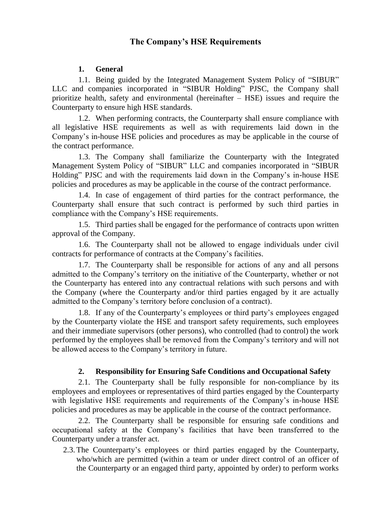# **The Company's HSE Requirements**

## **1. General**

1.1. Being guided by the Integrated Management System Policy of "SIBUR" LLC and companies incorporated in "SIBUR Holding" PJSC, the Company shall prioritize health, safety and environmental (hereinafter – HSE) issues and require the Counterparty to ensure high HSE standards.

1.2. When performing contracts, the Counterparty shall ensure compliance with all legislative HSE requirements as well as with requirements laid down in the Company's in-house HSE policies and procedures as may be applicable in the course of the contract performance.

1.3. The Company shall familiarize the Counterparty with the Integrated Management System Policy of "SIBUR" LLC and companies incorporated in "SIBUR Holding" PJSC and with the requirements laid down in the Company's in-house HSE policies and procedures as may be applicable in the course of the contract performance.

1.4. In case of engagement of third parties for the contract performance, the Counterparty shall ensure that such contract is performed by such third parties in compliance with the Company's HSE requirements.

1.5. Third parties shall be engaged for the performance of contracts upon written approval of the Company.

1.6. The Counterparty shall not be allowed to engage individuals under civil contracts for performance of contracts at the Company's facilities.

1.7. The Counterparty shall be responsible for actions of any and all persons admitted to the Company's territory on the initiative of the Counterparty, whether or not the Counterparty has entered into any contractual relations with such persons and with the Company (where the Counterparty and/or third parties engaged by it are actually admitted to the Company's territory before conclusion of a contract).

1.8. If any of the Counterparty's employees or third party's employees engaged by the Counterparty violate the HSE and transport safety requirements, such employees and their immediate supervisors (other persons), who controlled (had to control) the work performed by the employees shall be removed from the Company's territory and will not be allowed access to the Company's territory in future.

# **2. Responsibility for Ensuring Safe Conditions and Occupational Safety**

2.1. The Counterparty shall be fully responsible for non-compliance by its employees and employees or representatives of third parties engaged by the Counterparty with legislative HSE requirements and requirements of the Company's in-house HSE policies and procedures as may be applicable in the course of the contract performance.

2.2. The Counterparty shall be responsible for ensuring safe conditions and occupational safety at the Company's facilities that have been transferred to the Counterparty under a transfer act.

2.3. The Counterparty's employees or third parties engaged by the Counterparty, who/which are permitted (within a team or under direct control of an officer of the Counterparty or an engaged third party, appointed by order) to perform works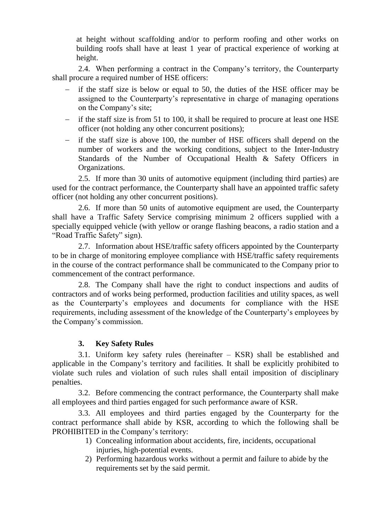at height without scaffolding and/or to perform roofing and other works on building roofs shall have at least 1 year of practical experience of working at height.

2.4. When performing a contract in the Company's territory, the Counterparty shall procure a required number of HSE officers:

- if the staff size is below or equal to 50, the duties of the HSE officer may be assigned to the Counterparty's representative in charge of managing operations on the Company's site;
- $\overline{\phantom{a}}$  if the staff size is from 51 to 100, it shall be required to procure at least one HSE officer (not holding any other concurrent positions);
- if the staff size is above 100, the number of HSE officers shall depend on the number of workers and the working conditions, subject to the Inter-Industry Standards of the Number of Occupational Health & Safety Officers in Organizations.

2.5. If more than 30 units of automotive equipment (including third parties) are used for the contract performance, the Counterparty shall have an appointed traffic safety officer (not holding any other concurrent positions).

2.6. If more than 50 units of automotive equipment are used, the Counterparty shall have a Traffic Safety Service comprising minimum 2 officers supplied with a specially equipped vehicle (with yellow or orange flashing beacons, a radio station and a "Road Traffic Safety" sign).

2.7. Information about HSE/traffic safety officers appointed by the Counterparty to be in charge of monitoring employee compliance with HSE/traffic safety requirements in the course of the contract performance shall be communicated to the Company prior to commencement of the contract performance.

2.8. The Company shall have the right to conduct inspections and audits of contractors and of works being performed, production facilities and utility spaces, as well as the Counterparty's employees and documents for compliance with the HSE requirements, including assessment of the knowledge of the Counterparty's employees by the Company's commission.

# **3. Key Safety Rules**

3.1. Uniform key safety rules (hereinafter – KSR) shall be established and applicable in the Company's territory and facilities. It shall be explicitly prohibited to violate such rules and violation of such rules shall entail imposition of disciplinary penalties.

3.2. Before commencing the contract performance, the Counterparty shall make all employees and third parties engaged for such performance aware of KSR.

3.3. All employees and third parties engaged by the Counterparty for the contract performance shall abide by KSR, according to which the following shall be PROHIBITED in the Company's territory:

- 1) Concealing information about accidents, fire, incidents, occupational injuries, high-potential events.
- 2) Performing hazardous works without a permit and failure to abide by the requirements set by the said permit.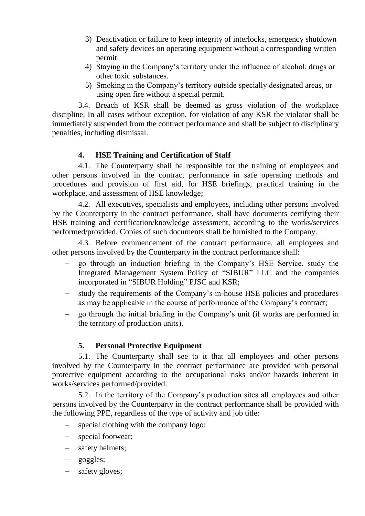- 3) Deactivation or failure to keep integrity of interlocks, emergency shutdown and safety devices on operating equipment without a corresponding written permit.
- 4) Staying in the Company's territory under the influence of alcohol, drugs or other toxic substances.
- 5) Smoking in the Company's territory outside specially designated areas, or using open fire without a special permit.

3.4. Breach of KSR shall be deemed as gross violation of the workplace discipline. In all cases without exception, for violation of any KSR the violator shall be immediately suspended from the contract performance and shall be subject to disciplinary penalties, including dismissal.

# **4. HSE Training and Certification of Staff**

4.1. The Counterparty shall be responsible for the training of employees and other persons involved in the contract performance in safe operating methods and procedures and provision of first aid, for HSE briefings, practical training in the workplace, and assessment of HSE knowledge;

4.2. All executives, specialists and employees, including other persons involved by the Counterparty in the contract performance, shall have documents certifying their HSE training and certification/knowledge assessment, according to the works/services performed/provided. Copies of such documents shall be furnished to the Company.

4.3. Before commencement of the contract performance, all employees and other persons involved by the Counterparty in the contract performance shall:

- go through an induction briefing in the Company's HSE Service, study the Integrated Management System Policy of "SIBUR" LLC and the companies incorporated in "SIBUR Holding" PJSC and KSR;
- study the requirements of the Company's in-house HSE policies and procedures as may be applicable in the course of performance of the Company's contract;
- go through the initial briefing in the Company's unit (if works are performed in the territory of production units).

## **5. Personal Protective Equipment**

5.1. The Counterparty shall see to it that all employees and other persons involved by the Counterparty in the contract performance are provided with personal protective equipment according to the occupational risks and/or hazards inherent in works/services performed/provided.

5.2. In the territory of the Company's production sites all employees and other persons involved by the Counterparty in the contract performance shall be provided with the following PPE, regardless of the type of activity and job title:

- special clothing with the company logo;
- special footwear;
- safety helmets;
- goggles;
- safety gloves;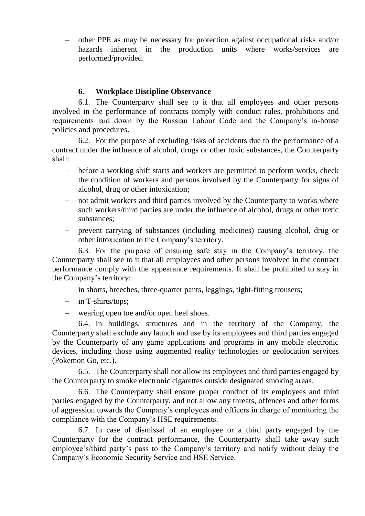other PPE as may be necessary for protection against occupational risks and/or hazards inherent in the production units where works/services are performed/provided.

#### **6. Workplace Discipline Observance**

6.1. The Counterparty shall see to it that all employees and other persons involved in the performance of contracts comply with conduct rules, prohibitions and requirements laid down by the Russian Labour Code and the Company's in-house policies and procedures.

6.2. For the purpose of excluding risks of accidents due to the performance of a contract under the influence of alcohol, drugs or other toxic substances, the Counterparty shall:

- before a working shift starts and workers are permitted to perform works, check the condition of workers and persons involved by the Counterparty for signs of alcohol, drug or other intoxication;
- not admit workers and third parties involved by the Counterparty to works where such workers/third parties are under the influence of alcohol, drugs or other toxic substances;
- prevent carrying of substances (including medicines) causing alcohol, drug or other intoxication to the Company's territory.

6.3. For the purpose of ensuring safe stay in the Company's territory, the Counterparty shall see to it that all employees and other persons involved in the contract performance comply with the appearance requirements. It shall be prohibited to stay in the Company's territory:

- in shorts, breeches, three-quarter pants, leggings, tight-fitting trousers;
- in T-shirts/tops:
- wearing open toe and/or open heel shoes.

6.4. In buildings, structures and in the territory of the Company, the Counterparty shall exclude any launch and use by its employees and third parties engaged by the Counterparty of any game applications and programs in any mobile electronic devices, including those using augmented reality technologies or geolocation services (Pokemon Go, etc.).

6.5. The Counterparty shall not allow its employees and third parties engaged by the Counterparty to smoke electronic cigarettes outside designated smoking areas.

6.6. The Counterparty shall ensure proper conduct of its employees and third parties engaged by the Counterparty, and not allow any threats, offences and other forms of aggression towards the Company's employees and officers in charge of monitoring the compliance with the Company's HSE requirements.

6.7. In case of dismissal of an employee or a third party engaged by the Counterparty for the contract performance, the Counterparty shall take away such employee's/third party's pass to the Company's territory and notify without delay the Company's Economic Security Service and HSE Service.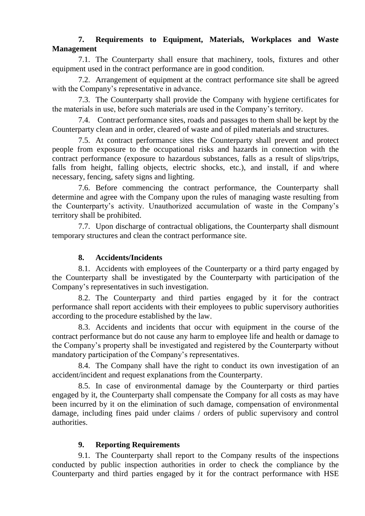# **7. Requirements to Equipment, Materials, Workplaces and Waste Management**

7.1. The Counterparty shall ensure that machinery, tools, fixtures and other equipment used in the contract performance are in good condition.

7.2. Arrangement of equipment at the contract performance site shall be agreed with the Company's representative in advance.

7.3. The Counterparty shall provide the Company with hygiene certificates for the materials in use, before such materials are used in the Company's territory.

7.4. Contract performance sites, roads and passages to them shall be kept by the Counterparty clean and in order, cleared of waste and of piled materials and structures.

7.5. At contract performance sites the Counterparty shall prevent and protect people from exposure to the occupational risks and hazards in connection with the contract performance (exposure to hazardous substances, falls as a result of slips/trips, falls from height, falling objects, electric shocks, etc.), and install, if and where necessary, fencing, safety signs and lighting.

7.6. Before commencing the contract performance, the Counterparty shall determine and agree with the Company upon the rules of managing waste resulting from the Counterparty's activity. Unauthorized accumulation of waste in the Company's territory shall be prohibited.

7.7. Upon discharge of contractual obligations, the Counterparty shall dismount temporary structures and clean the contract performance site.

# **8. Accidents/Incidents**

8.1. Accidents with employees of the Counterparty or a third party engaged by the Counterparty shall be investigated by the Counterparty with participation of the Company's representatives in such investigation.

8.2. The Counterparty and third parties engaged by it for the contract performance shall report accidents with their employees to public supervisory authorities according to the procedure established by the law.

8.3. Accidents and incidents that occur with equipment in the course of the contract performance but do not cause any harm to employee life and health or damage to the Company's property shall be investigated and registered by the Counterparty without mandatory participation of the Company's representatives.

8.4. The Company shall have the right to conduct its own investigation of an accident/incident and request explanations from the Counterparty.

8.5. In case of environmental damage by the Counterparty or third parties engaged by it, the Counterparty shall compensate the Company for all costs as may have been incurred by it on the elimination of such damage, compensation of environmental damage, including fines paid under claims / orders of public supervisory and control authorities.

# **9. Reporting Requirements**

9.1. The Counterparty shall report to the Company results of the inspections conducted by public inspection authorities in order to check the compliance by the Counterparty and third parties engaged by it for the contract performance with HSE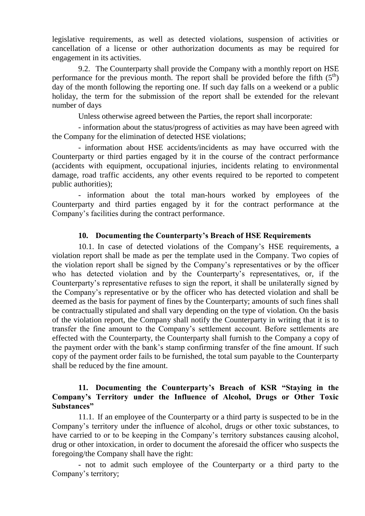legislative requirements, as well as detected violations, suspension of activities or cancellation of a license or other authorization documents as may be required for engagement in its activities.

9.2. The Counterparty shall provide the Company with a monthly report on HSE performance for the previous month. The report shall be provided before the fifth  $(5<sup>th</sup>)$ day of the month following the reporting one. If such day falls on a weekend or a public holiday, the term for the submission of the report shall be extended for the relevant number of days

Unless otherwise agreed between the Parties, the report shall incorporate:

- information about the status/progress of activities as may have been agreed with the Company for the elimination of detected HSE violations;

- information about HSE accidents/incidents as may have occurred with the Counterparty or third parties engaged by it in the course of the contract performance (accidents with equipment, occupational injuries, incidents relating to environmental damage, road traffic accidents, any other events required to be reported to competent public authorities);

- information about the total man-hours worked by employees of the Counterparty and third parties engaged by it for the contract performance at the Company's facilities during the contract performance.

## **10. Documenting the Counterparty's Breach of HSE Requirements**

10.1. In case of detected violations of the Company's HSE requirements, a violation report shall be made as per the template used in the Company. Two copies of the violation report shall be signed by the Company's representatives or by the officer who has detected violation and by the Counterparty's representatives, or, if the Counterparty's representative refuses to sign the report, it shall be unilaterally signed by the Company's representative or by the officer who has detected violation and shall be deemed as the basis for payment of fines by the Counterparty; amounts of such fines shall be contractually stipulated and shall vary depending on the type of violation. On the basis of the violation report, the Company shall notify the Counterparty in writing that it is to transfer the fine amount to the Company's settlement account. Before settlements are effected with the Counterparty, the Counterparty shall furnish to the Company a copy of the payment order with the bank's stamp confirming transfer of the fine amount. If such copy of the payment order fails to be furnished, the total sum payable to the Counterparty shall be reduced by the fine amount.

## **11. Documenting the Counterparty's Breach of KSR "Staying in the Company's Territory under the Influence of Alcohol, Drugs or Other Toxic Substances"**

11.1. If an employee of the Counterparty or a third party is suspected to be in the Company's territory under the influence of alcohol, drugs or other toxic substances, to have carried to or to be keeping in the Company's territory substances causing alcohol, drug or other intoxication, in order to document the aforesaid the officer who suspects the foregoing/the Company shall have the right:

- not to admit such employee of the Counterparty or a third party to the Company's territory;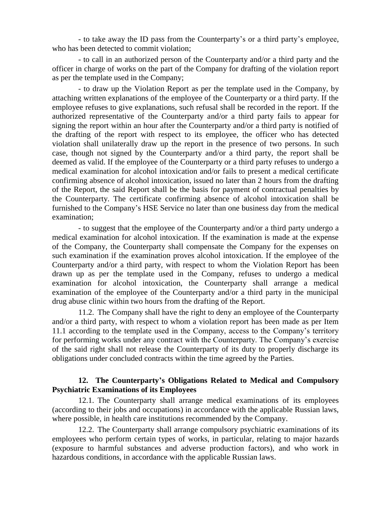- to take away the ID pass from the Counterparty's or a third party's employee, who has been detected to commit violation;

- to call in an authorized person of the Counterparty and/or a third party and the officer in charge of works on the part of the Company for drafting of the violation report as per the template used in the Company;

- to draw up the Violation Report as per the template used in the Company, by attaching written explanations of the employee of the Counterparty or a third party. If the employee refuses to give explanations, such refusal shall be recorded in the report. If the authorized representative of the Counterparty and/or a third party fails to appear for signing the report within an hour after the Counterparty and/or a third party is notified of the drafting of the report with respect to its employee, the officer who has detected violation shall unilaterally draw up the report in the presence of two persons. In such case, though not signed by the Counterparty and/or a third party, the report shall be deemed as valid. If the employee of the Counterparty or a third party refuses to undergo a medical examination for alcohol intoxication and/or fails to present a medical certificate confirming absence of alcohol intoxication, issued no later than 2 hours from the drafting of the Report, the said Report shall be the basis for payment of contractual penalties by the Counterparty. The certificate confirming absence of alcohol intoxication shall be furnished to the Company's HSE Service no later than one business day from the medical examination;

- to suggest that the employee of the Counterparty and/or a third party undergo a medical examination for alcohol intoxication. If the examination is made at the expense of the Company, the Counterparty shall compensate the Company for the expenses on such examination if the examination proves alcohol intoxication. If the employee of the Counterparty and/or a third party, with respect to whom the Violation Report has been drawn up as per the template used in the Company, refuses to undergo a medical examination for alcohol intoxication, the Counterparty shall arrange a medical examination of the employee of the Counterparty and/or a third party in the municipal drug abuse clinic within two hours from the drafting of the Report.

11.2. The Company shall have the right to deny an employee of the Counterparty and/or a third party, with respect to whom a violation report has been made as per Item 11.1 according to the template used in the Company, access to the Company's territory for performing works under any contract with the Counterparty. The Company's exercise of the said right shall not release the Counterparty of its duty to properly discharge its obligations under concluded contracts within the time agreed by the Parties.

## **12. The Counterparty's Obligations Related to Medical and Compulsory Psychiatric Examinations of its Employees**

12.1. The Counterparty shall arrange medical examinations of its employees (according to their jobs and occupations) in accordance with the applicable Russian laws, where possible, in health care institutions recommended by the Company.

12.2. The Counterparty shall arrange compulsory psychiatric examinations of its employees who perform certain types of works, in particular, relating to major hazards (exposure to harmful substances and adverse production factors), and who work in hazardous conditions, in accordance with the applicable Russian laws.